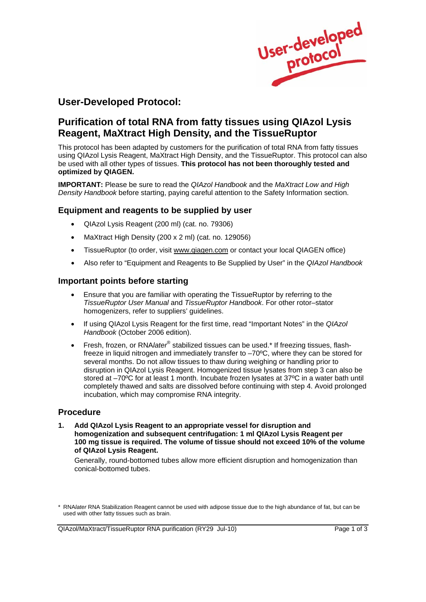

# **User-Developed Protocol:**

# **Purification of total RNA from fatty tissues using QIAzol Lysis Reagent, MaXtract High Density, and the TissueRuptor**

This protocol has been adapted by customers for the purification of total RNA from fatty tissues using QIAzol Lysis Reagent, MaXtract High Density, and the TissueRuptor. This protocol can also be used with all other types of tissues. **This protocol has not been thoroughly tested and optimized by QIAGEN.**

**IMPORTANT:** Please be sure to read the *QIAzol Handbook* and the *MaXtract Low and High Density Handbook* before starting, paying careful attention to the Safety Information section.

#### **Equipment and reagents to be supplied by user**

- QIAzol Lysis Reagent (200 ml) (cat. no. 79306)
- MaXtract High Density (200 x 2 ml) (cat. no. 129056)
- TissueRuptor (to order, visit www.qiagen.com or contact your local QIAGEN office)
- Also refer to "Equipment and Reagents to Be Supplied by User" in the *QIAzol Handbook*

### **Important points before starting**

- Ensure that you are familiar with operating the TissueRuptor by referring to the *TissueRuptor User Manual* and *TissueRuptor Handbook*. For other rotor–stator homogenizers, refer to suppliers' guidelines.
- If using QIAzol Lysis Reagent for the first time, read "Important Notes" in the *QIAzol Handbook* (October 2006 edition).
- Fresh, frozen, or RNA*later<sup>®</sup>* stabilized tissues can be used.\* If freezing tissues, flashfreeze in liquid nitrogen and immediately transfer to –70ºC, where they can be stored for several months. Do not allow tissues to thaw during weighing or handling prior to disruption in QIAzol Lysis Reagent. Homogenized tissue lysates from step 3 can also be stored at –70ºC for at least 1 month. Incubate frozen lysates at 37ºC in a water bath until completely thawed and salts are dissolved before continuing with step 4. Avoid prolonged incubation, which may compromise RNA integrity.

#### **Procedure**

**1. Add QIAzol Lysis Reagent to an appropriate vessel for disruption and homogenization and subsequent centrifugation: 1 ml QIAzol Lysis Reagent per 100 mg tissue is required. The volume of tissue should not exceed 10% of the volume of QIAzol Lysis Reagent.** 

 Generally, round-bottomed tubes allow more efficient disruption and homogenization than conical-bottomed tubes.

QIAzol/MaXtract/TissueRuptor RNA purification (RY29 Jul-10) Page 1 of 3

<sup>\*</sup> RNA*later* RNA Stabilization Reagent cannot be used with adipose tissue due to the high abundance of fat, but can be used with other fatty tissues such as brain.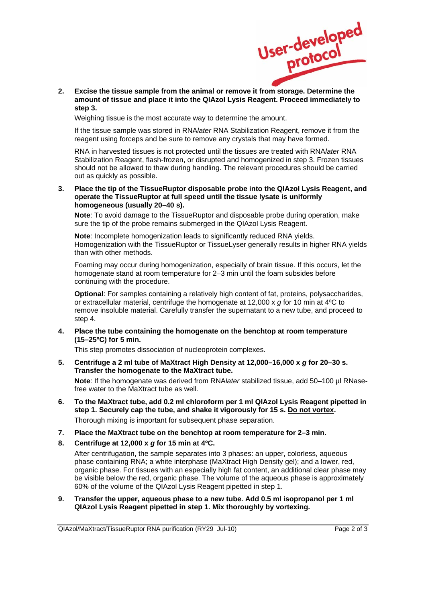

 **2. Excise the tissue sample from the animal or remove it from storage. Determine the amount of tissue and place it into the QIAzol Lysis Reagent. Proceed immediately to step 3.** 

Weighing tissue is the most accurate way to determine the amount.

 If the tissue sample was stored in RNA*later* RNA Stabilization Reagent, remove it from the reagent using forceps and be sure to remove any crystals that may have formed.

 RNA in harvested tissues is not protected until the tissues are treated with RNA*later* RNA Stabilization Reagent, flash-frozen, or disrupted and homogenized in step 3. Frozen tissues should not be allowed to thaw during handling. The relevant procedures should be carried out as quickly as possible.

**3. Place the tip of the TissueRuptor disposable probe into the QIAzol Lysis Reagent, and operate the TissueRuptor at full speed until the tissue lysate is uniformly homogeneous (usually 20–40 s).** 

**Note**: To avoid damage to the TissueRuptor and disposable probe during operation, make sure the tip of the probe remains submerged in the QIAzol Lysis Reagent.

**Note**: Incomplete homogenization leads to significantly reduced RNA yields. Homogenization with the TissueRuptor or TissueLyser generally results in higher RNA yields than with other methods.

 Foaming may occur during homogenization, especially of brain tissue. If this occurs, let the homogenate stand at room temperature for 2–3 min until the foam subsides before continuing with the procedure.

**Optional**: For samples containing a relatively high content of fat, proteins, polysaccharides, or extracellular material, centrifuge the homogenate at 12,000 x *g* for 10 min at 4ºC to remove insoluble material. Carefully transfer the supernatant to a new tube, and proceed to step 4.

**4. Place the tube containing the homogenate on the benchtop at room temperature (15–25ºC) for 5 min.** 

This step promotes dissociation of nucleoprotein complexes.

**5. Centrifuge a 2 ml tube of MaXtract High Density at 12,000–16,000 x** *g* **for 20–30 s. Transfer the homogenate to the MaXtract tube.** 

**Note**: If the homogenate was derived from RNA*later* stabilized tissue, add 50–100 µl RNasefree water to the MaXtract tube as well.

**6. To the MaXtract tube, add 0.2 ml chloroform per 1 ml QIAzol Lysis Reagent pipetted in step 1. Securely cap the tube, and shake it vigorously for 15 s. Do not vortex.** 

Thorough mixing is important for subsequent phase separation.

- **7. Place the MaXtract tube on the benchtop at room temperature for 2–3 min.**
- **8. Centrifuge at 12,000 x** *g* **for 15 min at 4ºC.**

 After centrifugation, the sample separates into 3 phases: an upper, colorless, aqueous phase containing RNA; a white interphase (MaXtract High Density gel); and a lower, red, organic phase. For tissues with an especially high fat content, an additional clear phase may be visible below the red, organic phase. The volume of the aqueous phase is approximately 60% of the volume of the QIAzol Lysis Reagent pipetted in step 1.

**9. Transfer the upper, aqueous phase to a new tube. Add 0.5 ml isopropanol per 1 ml QIAzol Lysis Reagent pipetted in step 1. Mix thoroughly by vortexing.**